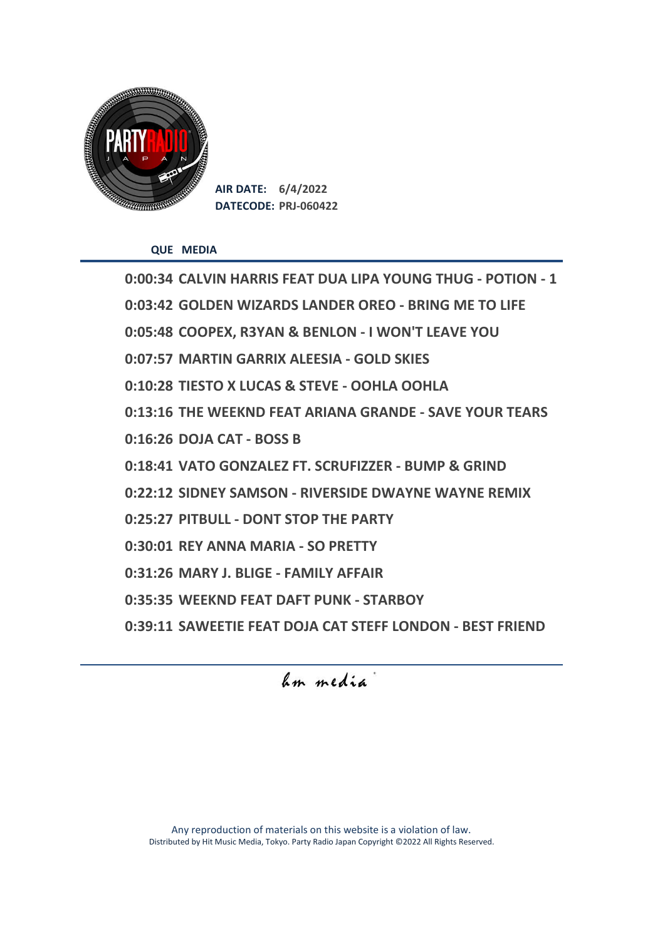

**AIR DATE: 6/4/2022 DATECODE: PRJ-060422**

**QUE MEDIA**

**0:00:34 CALVIN HARRIS FEAT DUA LIPA YOUNG THUG - POTION - 1 0:03:42 GOLDEN WIZARDS LANDER OREO - BRING ME TO LIFE 0:05:48 COOPEX, R3YAN & BENLON - I WON'T LEAVE YOU 0:07:57 MARTIN GARRIX ALEESIA - GOLD SKIES 0:10:28 TIESTO X LUCAS & STEVE - OOHLA OOHLA 0:13:16 THE WEEKND FEAT ARIANA GRANDE - SAVE YOUR TEARS 0:16:26 DOJA CAT - BOSS B 0:18:41 VATO GONZALEZ FT. SCRUFIZZER - BUMP & GRIND 0:22:12 SIDNEY SAMSON - RIVERSIDE DWAYNE WAYNE REMIX 0:25:27 PITBULL - DONT STOP THE PARTY 0:30:01 REY ANNA MARIA - SO PRETTY 0:31:26 MARY J. BLIGE - FAMILY AFFAIR 0:35:35 WEEKND FEAT DAFT PUNK - STARBOY 0:39:11 SAWEETIE FEAT DOJA CAT STEFF LONDON - BEST FRIEND** 

hm media